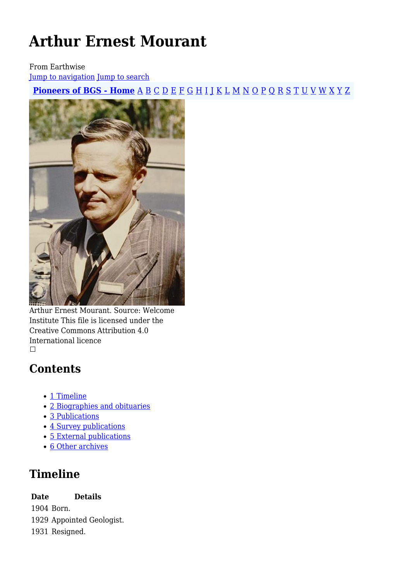# **Arthur Ernest Mourant**

From Earthwise

[Jump to navigation](#page--1-0) [Jump to search](#page--1-0)

**[Pioneers of BGS - Home](http://earthwise.bgs.ac.uk/index.php/Pioneers_of_the_British_Geological_Survey)** [A](http://earthwise.bgs.ac.uk/index.php/Pioneers_of_the_British_Geological_Survey#A) [B](http://earthwise.bgs.ac.uk/index.php/Pioneers_of_the_British_Geological_Survey#B) [C](http://earthwise.bgs.ac.uk/index.php/Pioneers_of_the_British_Geological_Survey#C) [D](http://earthwise.bgs.ac.uk/index.php/Pioneers_of_the_British_Geological_Survey#D) [E](http://earthwise.bgs.ac.uk/index.php/Pioneers_of_the_British_Geological_Survey#E) [F](http://earthwise.bgs.ac.uk/index.php/Pioneers_of_the_British_Geological_Survey#F) [G](http://earthwise.bgs.ac.uk/index.php/Pioneers_of_the_British_Geological_Survey#G) [H](http://earthwise.bgs.ac.uk/index.php/Pioneers_of_the_British_Geological_Survey#H) [I](http://earthwise.bgs.ac.uk/index.php/Pioneers_of_the_British_Geological_Survey#I) [J](http://earthwise.bgs.ac.uk/index.php/Pioneers_of_the_British_Geological_Survey#J) [K](http://earthwise.bgs.ac.uk/index.php/Pioneers_of_the_British_Geological_Survey#K) [L](http://earthwise.bgs.ac.uk/index.php/Pioneers_of_the_British_Geological_Survey#L) [M](http://earthwise.bgs.ac.uk/index.php/Pioneers_of_the_British_Geological_Survey#M) [N](http://earthwise.bgs.ac.uk/index.php/Pioneers_of_the_British_Geological_Survey#N) [O](http://earthwise.bgs.ac.uk/index.php/Pioneers_of_the_British_Geological_Survey#O) [P](http://earthwise.bgs.ac.uk/index.php/Pioneers_of_the_British_Geological_Survey#P) [Q](http://earthwise.bgs.ac.uk/index.php/Pioneers_of_the_British_Geological_Survey#Q) [R](http://earthwise.bgs.ac.uk/index.php/Pioneers_of_the_British_Geological_Survey#R) [S](http://earthwise.bgs.ac.uk/index.php/Pioneers_of_the_British_Geological_Survey#S) [T](http://earthwise.bgs.ac.uk/index.php/Pioneers_of_the_British_Geological_Survey#T) [U](http://earthwise.bgs.ac.uk/index.php/Pioneers_of_the_British_Geological_Survey#U) [V](http://earthwise.bgs.ac.uk/index.php/Pioneers_of_the_British_Geological_Survey#V) [W](http://earthwise.bgs.ac.uk/index.php/Pioneers_of_the_British_Geological_Survey#W) [X](http://earthwise.bgs.ac.uk/index.php/Pioneers_of_the_British_Geological_Survey#X) [Y](http://earthwise.bgs.ac.uk/index.php/Pioneers_of_the_British_Geological_Survey#Y) [Z](http://earthwise.bgs.ac.uk/index.php/Pioneers_of_the_British_Geological_Survey#Z)



Arthur Ernest Mourant. Source: Welcome Institute This file is licensed under the Creative Commons Attribution 4.0 International licence  $\mathcal{L}_{\mathcal{A}}$ 

### **Contents**

- [1](#page--1-0) [Timeline](#page--1-0)
- [2](#page--1-0) [Biographies and obituaries](#page--1-0)
- [3](#page--1-0) [Publications](#page--1-0)
- [4](#page--1-0) [Survey publications](#page--1-0)
- [5](#page--1-0) [External publications](#page--1-0)
- [6](#page--1-0) [Other archives](#page--1-0)

### **Timeline**

**Date Details**

1904 Born. 1929 Appointed Geologist.

1931 Resigned.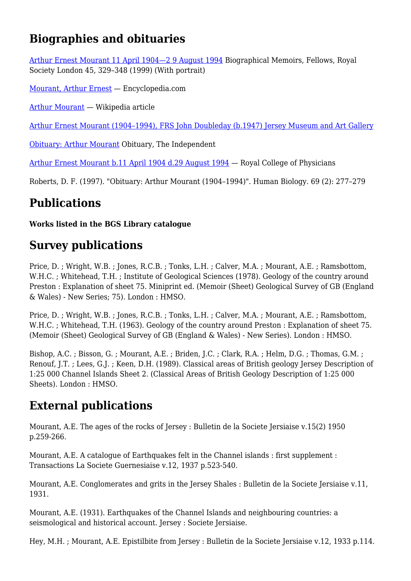### **Biographies and obituaries**

[Arthur Ernest Mourant 11 April 1904—2 9 August 1994](https://royalsocietypublishing.org/doi/pdf/10.1098/rsbm.1999.0023) Biographical Memoirs, Fellows, Royal Society London 45, 329–348 (1999) (With portrait)

[Mourant, Arthur Ernest](https://www.encyclopedia.com/science/encyclopedias-almanacs-transcripts-and-maps/mourant-arthur-ernest) — Encyclopedia.com

[Arthur Mourant](https://en.wikipedia.org/wiki/Arthur_Mourant) — Wikipedia article

[Arthur Ernest Mourant \(1904–1994\), FRS John Doubleday \(b.1947\) Jersey Museum and Art Gallery](https://artuk.org/discover/artworks/arthur-ernest-mourant-19041994-frs-260965/search/keyword:portrait-58326/page/316/view_as/list/sort_by/date_earliest/order/desc)

[Obituary: Arthur Mourant](https://www.independent.co.uk/news/people/obituary-arthur-mourant-1447112.html) Obituary, The Independent

[Arthur Ernest Mourant b.11 April 1904 d.29 August 1994](https://history.rcplondon.ac.uk/inspiring-physicians/arthur-ernest-mourant) — Royal College of Physicians

Roberts, D. F. (1997). "Obituary: Arthur Mourant (1904–1994)". Human Biology. 69 (2): 277–279

### **Publications**

#### **Works listed in the BGS Library catalogue**

### **Survey publications**

Price, D. ; Wright, W.B. ; Jones, R.C.B. ; Tonks, L.H. ; Calver, M.A. ; Mourant, A.E. ; Ramsbottom, W.H.C. : Whitehead, T.H. : Institute of Geological Sciences (1978). Geology of the country around Preston : Explanation of sheet 75. Miniprint ed. (Memoir (Sheet) Geological Survey of GB (England & Wales) - New Series; 75). London : HMSO.

Price, D. ; Wright, W.B. ; Jones, R.C.B. ; Tonks, L.H. ; Calver, M.A. ; Mourant, A.E. ; Ramsbottom, W.H.C. ; Whitehead, T.H. (1963). Geology of the country around Preston : Explanation of sheet 75. (Memoir (Sheet) Geological Survey of GB (England & Wales) - New Series). London : HMSO.

Bishop, A.C. ; Bisson, G. ; Mourant, A.E. ; Briden, J.C. ; Clark, R.A. ; Helm, D.G. ; Thomas, G.M. ; Renouf, J.T. ; Lees, G.J. ; Keen, D.H. (1989). Classical areas of British geology Jersey Description of 1:25 000 Channel Islands Sheet 2. (Classical Areas of British Geology Description of 1:25 000 Sheets). London : HMSO.

### **External publications**

Mourant, A.E. The ages of the rocks of Jersey : Bulletin de la Societe Jersiaise v.15(2) 1950 p.259-266.

Mourant, A.E. A catalogue of Earthquakes felt in the Channel islands : first supplement : Transactions La Societe Guernesiaise v.12, 1937 p.523-540.

Mourant, A.E. Conglomerates and grits in the Jersey Shales : Bulletin de la Societe Jersiaise v.11, 1931.

Mourant, A.E. (1931). Earthquakes of the Channel Islands and neighbouring countries: a seismological and historical account. Jersey : Societe Jersiaise.

Hey, M.H. ; Mourant, A.E. Epistilbite from Jersey : Bulletin de la Societe Jersiaise v.12, 1933 p.114.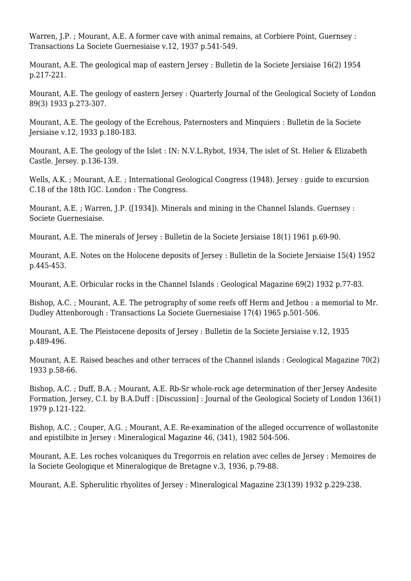Warren, I.P. : Mourant, A.E. A former cave with animal remains, at Corbiere Point, Guernsey : Transactions La Societe Guernesiaise v.12, 1937 p.541-549.

Mourant, A.E. The geological map of eastern Jersey : Bulletin de la Societe Jersiaise 16(2) 1954 p.217-221.

Mourant, A.E. The geology of eastern Jersey : Quarterly Journal of the Geological Society of London 89(3) 1933 p.273-307.

Mourant, A.E. The geology of the Ecrehous, Paternosters and Minquiers : Bulletin de la Societe Jersiaise v.12, 1933 p.180-183.

Mourant, A.E. The geology of the Islet : IN: N.V.L.Rybot, 1934, The islet of St. Helier & Elizabeth Castle. Jersey. p.136-139.

Wells, A.K. ; Mourant, A.E. ; International Geological Congress (1948). Jersey : guide to excursion C.18 of the 18th IGC. London : The Congress.

Mourant, A.E. ; Warren, J.P. ([1934]). Minerals and mining in the Channel Islands. Guernsey : Societe Guernesiaise.

Mourant, A.E. The minerals of Jersey : Bulletin de la Societe Jersiaise 18(1) 1961 p.69-90.

Mourant, A.E. Notes on the Holocene deposits of Jersey : Bulletin de la Societe Jersiaise 15(4) 1952 p.445-453.

Mourant, A.E. Orbicular rocks in the Channel Islands : Geological Magazine 69(2) 1932 p.77-83.

Bishop, A.C. ; Mourant, A.E. The petrography of some reefs off Herm and Jethou : a memorial to Mr. Dudley Attenborough : Transactions La Societe Guernesiaise 17(4) 1965 p.501-506.

Mourant, A.E. The Pleistocene deposits of Jersey : Bulletin de la Societe Jersiaise v.12, 1935 p.489-496.

Mourant, A.E. Raised beaches and other terraces of the Channel islands : Geological Magazine 70(2) 1933 p.58-66.

Bishop, A.C. ; Duff, B.A. ; Mourant, A.E. Rb-Sr whole-rock age determination of ther Jersey Andesite Formation, Jersey, C.I. by B.A.Duff : [Discussion] : Journal of the Geological Society of London 136(1) 1979 p.121-122.

Bishop, A.C. ; Couper, A.G. ; Mourant, A.E. Re-examination of the alleged occurrence of wollastonite and epistilbite in Jersey : Mineralogical Magazine 46, (341), 1982 504-506.

Mourant, A.E. Les roches volcaniques du Tregorrois en relation avec celles de Jersey : Memoires de la Societe Geologique et Mineralogique de Bretagne v.3, 1936, p.79-88.

Mourant, A.E. Spherulitic rhyolites of Jersey : Mineralogical Magazine 23(139) 1932 p.229-238.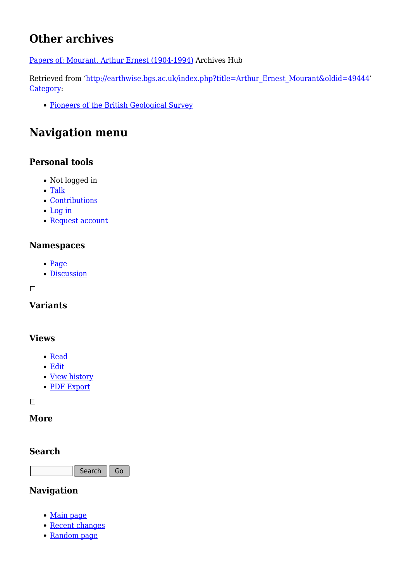## **Other archives**

[Papers of: Mourant, Arthur Ernest \(1904-1994\)](https://archiveshub.jisc.ac.uk/search/archives/1cbda18e-502d-39f4-bd90-155558bd0a24) Archives Hub

Retrieved from ['http://earthwise.bgs.ac.uk/index.php?title=Arthur\\_Ernest\\_Mourant&oldid=49444'](http://earthwise.bgs.ac.uk/index.php?title=Arthur_Ernest_Mourant&oldid=49444) [Category](http://earthwise.bgs.ac.uk/index.php/Special:Categories):

[Pioneers of the British Geological Survey](http://earthwise.bgs.ac.uk/index.php/Category:Pioneers_of_the_British_Geological_Survey)

### **Navigation menu**

### **Personal tools**

- Not logged in
- [Talk](http://earthwise.bgs.ac.uk/index.php/Special:MyTalk)
- [Contributions](http://earthwise.bgs.ac.uk/index.php/Special:MyContributions)
- [Log in](http://earthwise.bgs.ac.uk/index.php?title=Special:UserLogin&returnto=Arthur+Ernest+Mourant&returntoquery=action%3Dmpdf)
- [Request account](http://earthwise.bgs.ac.uk/index.php/Special:RequestAccount)

#### **Namespaces**

- [Page](http://earthwise.bgs.ac.uk/index.php/Arthur_Ernest_Mourant)
- [Discussion](http://earthwise.bgs.ac.uk/index.php?title=Talk:Arthur_Ernest_Mourant&action=edit&redlink=1)

 $\overline{\phantom{a}}$ 

### **Variants**

#### **Views**

- [Read](http://earthwise.bgs.ac.uk/index.php/Arthur_Ernest_Mourant)
- [Edit](http://earthwise.bgs.ac.uk/index.php?title=Arthur_Ernest_Mourant&action=edit)
- [View history](http://earthwise.bgs.ac.uk/index.php?title=Arthur_Ernest_Mourant&action=history)
- [PDF Export](http://earthwise.bgs.ac.uk/index.php?title=Arthur_Ernest_Mourant&action=mpdf)

 $\Box$ 

#### **More**

#### **Search**

Search  $\parallel$  Go

#### **Navigation**

- [Main page](http://earthwise.bgs.ac.uk/index.php/Main_Page)
- [Recent changes](http://earthwise.bgs.ac.uk/index.php/Special:RecentChanges)
- [Random page](http://earthwise.bgs.ac.uk/index.php/Special:Random)